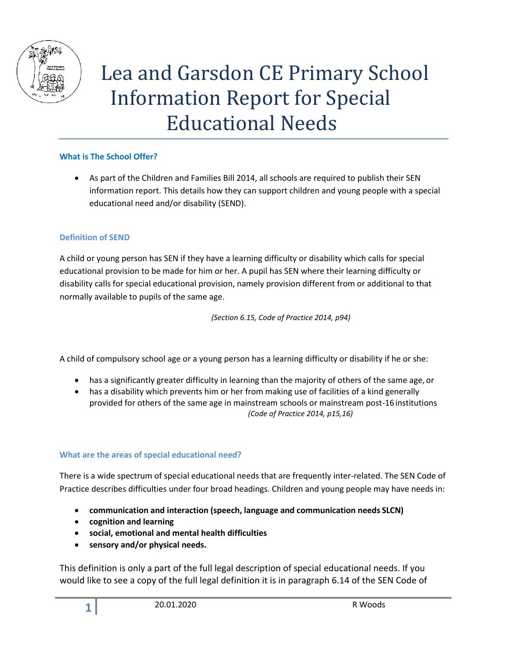

# Lea and Garsdon CE Primary School Information Report for Special Educational Needs

## **What is The School Offer?**

 As part of the Children and Families Bill 2014, all schools are required to publish their SEN information report. This details how they can support children and young people with a special educational need and/or disability (SEND).

#### **Definition of SEND**

A child or young person has SEN if they have a learning difficulty or disability which calls for special educational provision to be made for him or her. A pupil has SEN where their learning difficulty or disability calls for special educational provision, namely provision different from or additional to that normally available to pupils of the same age.

*(Section 6.15, Code of Practice 2014, p94)*

A child of compulsory school age or a young person has a learning difficulty or disability if he or she:

- has a significantly greater difficulty in learning than the majority of others of the same age, or
- has a disability which prevents him or her from making use of facilities of a kind generally provided for others of the same age in mainstream schools or mainstream post-16institutions *(Code of Practice 2014, p15,16)*

#### **What are the areas of special educational need?**

There is a wide spectrum of special educational needs that are frequently inter-related. The SEN Code of Practice describes difficulties under four broad headings. Children and young people may have needs in:

- **communication and interaction (speech, language and communication needs SLCN)**
- **cognition and learning**
- **social, emotional and mental health difficulties**
- **sensory and/or physical needs.**

This definition is only a part of the full legal description of special educational needs. If you would like to see a copy of the full legal definition it is in paragraph 6.14 of the SEN Code of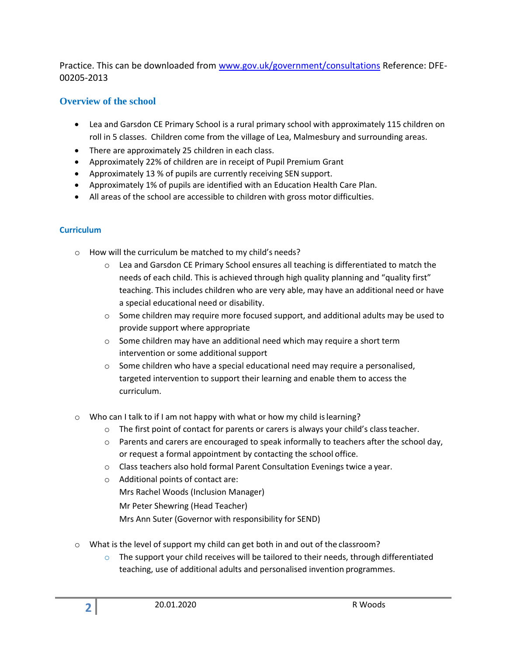Practice. This can be downloaded from [www.gov.uk/government/consultations](http://www.gov.uk/government/consultations) Reference: DFE-00205-2013

# **Overview of the school**

- Lea and Garsdon CE Primary School is a rural primary school with approximately 115 children on roll in 5 classes. Children come from the village of Lea, Malmesbury and surrounding areas.
- There are approximately 25 children in each class.
- Approximately 22% of children are in receipt of Pupil Premium Grant
- Approximately 13 % of pupils are currently receiving SEN support.
- Approximately 1% of pupils are identified with an Education Health Care Plan.
- All areas of the school are accessible to children with gross motor difficulties.

# **Curriculum**

- o How will the curriculum be matched to my child's needs?
	- $\circ$  Lea and Garsdon CE Primary School ensures all teaching is differentiated to match the needs of each child. This is achieved through high quality planning and "quality first" teaching. This includes children who are very able, may have an additional need or have a special educational need or disability.
	- $\circ$  Some children may require more focused support, and additional adults may be used to provide support where appropriate
	- o Some children may have an additional need which may require a short term intervention or some additional support
	- $\circ$  Some children who have a special educational need may require a personalised, targeted intervention to support their learning and enable them to access the curriculum.
- $\circ$  Who can I talk to if I am not happy with what or how my child is learning?
	- $\circ$  The first point of contact for parents or carers is always your child's class teacher.
	- $\circ$  Parents and carers are encouraged to speak informally to teachers after the school day, or request a formal appointment by contacting the school office.
	- $\circ$  Class teachers also hold formal Parent Consultation Evenings twice a year.
	- o Additional points of contact are: Mrs Rachel Woods (Inclusion Manager) Mr Peter Shewring (Head Teacher) Mrs Ann Suter (Governor with responsibility for SEND)
- $\circ$  What is the level of support my child can get both in and out of the classroom?
	- $\circ$  The support your child receives will be tailored to their needs, through differentiated teaching, use of additional adults and personalised invention programmes.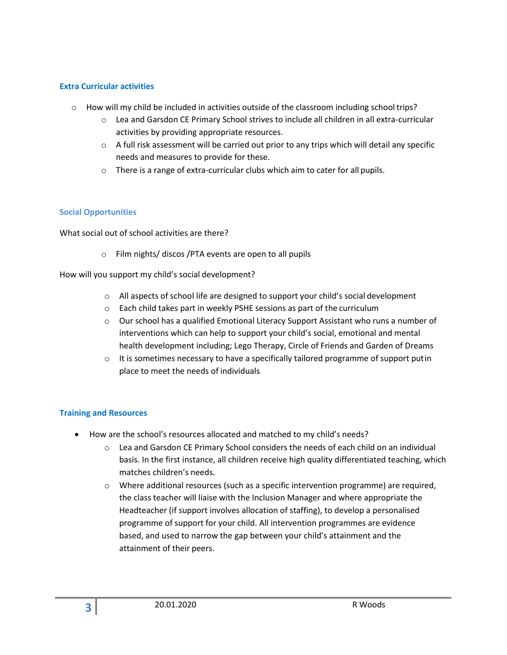#### **Extra Curricular activities**

- $\circ$  How will my child be included in activities outside of the classroom including school trips?
	- o Lea and Garsdon CE Primary School strives to include all children in all extra-curricular activities by providing appropriate resources.
	- $\circ$  A full risk assessment will be carried out prior to any trips which will detail any specific needs and measures to provide for these.
	- $\circ$  There is a range of extra-curricular clubs which aim to cater for all pupils.

#### **Social Opportunities**

What social out of school activities are there?

o Film nights/ discos /PTA events are open to all pupils

How will you support my child's social development?

- o All aspects of school life are designed to support your child's social development
- o Each child takes part in weekly PSHE sessions as part of the curriculum
- $\circ$  Our school has a qualified Emotional Literacy Support Assistant who runs a number of interventions which can help to support your child's social, emotional and mental health development including; Lego Therapy, Circle of Friends and Garden of Dreams
- $\circ$  It is sometimes necessary to have a specifically tailored programme of support putin place to meet the needs of individuals

## **Training and Resources**

- How are the school's resources allocated and matched to my child's needs?
	- $\circ$  Lea and Garsdon CE Primary School considers the needs of each child on an individual basis. In the first instance, all children receive high quality differentiated teaching, which matches children's needs.
	- o Where additional resources (such as a specific intervention programme) are required, the class teacher will liaise with the Inclusion Manager and where appropriate the Headteacher (if support involves allocation of staffing), to develop a personalised programme of support for your child. All intervention programmes are evidence based, and used to narrow the gap between your child's attainment and the attainment of their peers.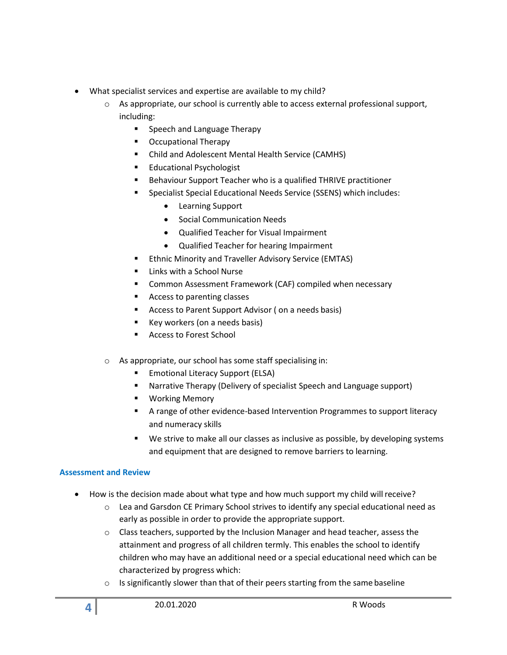- What specialist services and expertise are available to my child?
	- o As appropriate, our school is currently able to access external professional support, including:
		- **Speech and Language Therapy**
		- **C** Occupational Therapy
		- Child and Adolescent Mental Health Service (CAMHS)
		- **Educational Psychologist**
		- **Behaviour Support Teacher who is a qualified THRIVE practitioner**
		- Specialist Special Educational Needs Service (SSENS) which includes:
			- Learning Support
			- **•** Social Communication Needs
			- Qualified Teacher for Visual Impairment
			- Qualified Teacher for hearing Impairment
		- **Ethnic Minority and Traveller Advisory Service (EMTAS)**
		- Links with a School Nurse
		- Common Assessment Framework (CAF) compiled when necessary
		- Access to parenting classes
		- Access to Parent Support Advisor ( on a needs basis)
		- Key workers (on a needs basis)
		- Access to Forest School
	- o As appropriate, our school has some staff specialising in:
		- **Emotional Literacy Support (ELSA)**
		- Narrative Therapy (Delivery of specialist Speech and Language support)
		- **•** Working Memory
		- A range of other evidence-based Intervention Programmes to support literacy and numeracy skills
		- We strive to make all our classes as inclusive as possible, by developing systems and equipment that are designed to remove barriers to learning.

## **Assessment and Review**

- How is the decision made about what type and how much support my child will receive?
	- $\circ$  Lea and Garsdon CE Primary School strives to identify any special educational need as early as possible in order to provide the appropriate support.
	- o Class teachers, supported by the Inclusion Manager and head teacher, assess the attainment and progress of all children termly. This enables the school to identify children who may have an additional need or a special educational need which can be characterized by progress which:
	- $\circ$  Is significantly slower than that of their peers starting from the same baseline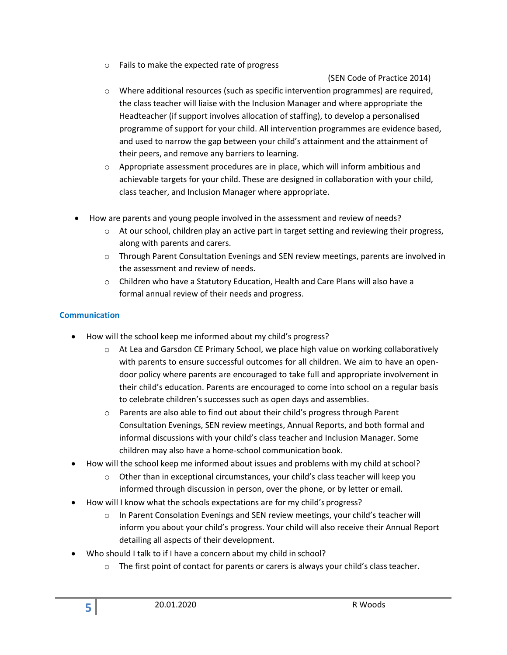o Fails to make the expected rate of progress

(SEN Code of Practice 2014)

- o Where additional resources (such as specific intervention programmes) are required, the class teacher will liaise with the Inclusion Manager and where appropriate the Headteacher (if support involves allocation of staffing), to develop a personalised programme of support for your child. All intervention programmes are evidence based, and used to narrow the gap between your child's attainment and the attainment of their peers, and remove any barriers to learning.
- $\circ$  Appropriate assessment procedures are in place, which will inform ambitious and achievable targets for your child. These are designed in collaboration with your child, class teacher, and Inclusion Manager where appropriate.
- How are parents and young people involved in the assessment and review of needs?
	- o At our school, children play an active part in target setting and reviewing their progress, along with parents and carers.
	- o Through Parent Consultation Evenings and SEN review meetings, parents are involved in the assessment and review of needs.
	- o Children who have a Statutory Education, Health and Care Plans will also have a formal annual review of their needs and progress.

# **Communication**

- How will the school keep me informed about my child's progress?
	- $\circ$  At Lea and Garsdon CE Primary School, we place high value on working collaboratively with parents to ensure successful outcomes for all children. We aim to have an opendoor policy where parents are encouraged to take full and appropriate involvement in their child's education. Parents are encouraged to come into school on a regular basis to celebrate children's successes such as open days and assemblies.
	- $\circ$  Parents are also able to find out about their child's progress through Parent Consultation Evenings, SEN review meetings, Annual Reports, and both formal and informal discussions with your child's class teacher and Inclusion Manager. Some children may also have a home-school communication book.
- How will the school keep me informed about issues and problems with my child atschool?
	- $\circ$  Other than in exceptional circumstances, your child's class teacher will keep you informed through discussion in person, over the phone, or by letter or email.
- How will I know what the schools expectations are for my child's progress?
	- $\circ$  In Parent Consolation Evenings and SEN review meetings, your child's teacher will inform you about your child's progress. Your child will also receive their Annual Report detailing all aspects of their development.
- Who should I talk to if I have a concern about my child in school?
	- $\circ$  The first point of contact for parents or carers is always your child's class teacher.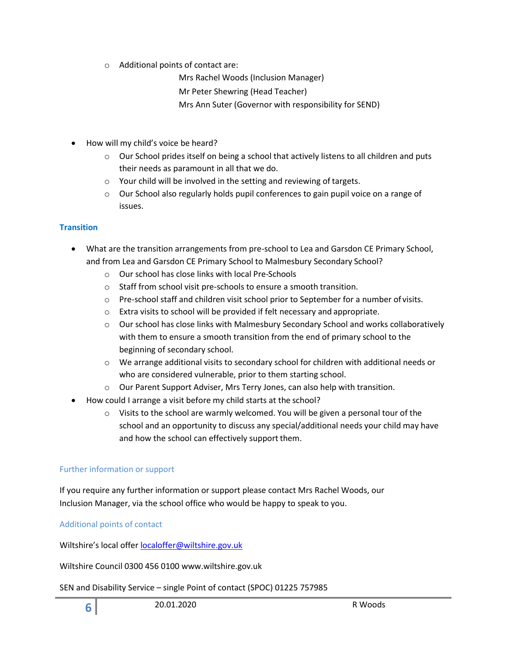o Additional points of contact are:

Mrs Rachel Woods (Inclusion Manager)

Mr Peter Shewring (Head Teacher)

Mrs Ann Suter (Governor with responsibility for SEND)

- How will my child's voice be heard?
	- $\circ$  Our School prides itself on being a school that actively listens to all children and puts their needs as paramount in all that we do.
	- o Your child will be involved in the setting and reviewing of targets.
	- $\circ$  Our School also regularly holds pupil conferences to gain pupil voice on a range of issues.

# **Transition**

- What are the transition arrangements from pre-school to Lea and Garsdon CE Primary School, and from Lea and Garsdon CE Primary School to Malmesbury Secondary School?
	- o Our school has close links with local Pre-Schools
	- o Staff from school visit pre-schools to ensure a smooth transition.
	- $\circ$  Pre-school staff and children visit school prior to September for a number of visits.
	- $\circ$  Extra visits to school will be provided if felt necessary and appropriate.
	- $\circ$  Our school has close links with Malmesbury Secondary School and works collaboratively with them to ensure a smooth transition from the end of primary school to the beginning of secondary school.
	- o We arrange additional visits to secondary school for children with additional needs or who are considered vulnerable, prior to them starting school.
	- o Our Parent Support Adviser, Mrs Terry Jones, can also help with transition.
- How could I arrange a visit before my child starts at the school?
	- $\circ$  Visits to the school are warmly welcomed. You will be given a personal tour of the school and an opportunity to discuss any special/additional needs your child may have and how the school can effectively support them.

## Further information or support

If you require any further information or support please contact Mrs Rachel Woods, our Inclusion Manager, via the school office who would be happy to speak to you.

Additional points of contact

Wiltshire's local offer [localoffer@wiltshire.gov.uk](mailto:localoffer@wiltshire.gov.uk)

Wiltshire Council 0300 456 0100 [www.wiltshire.gov.uk](http://www.wiltshire.gov.uk/)

## SEN and Disability Service – single Point of contact (SPOC) 01225 757985